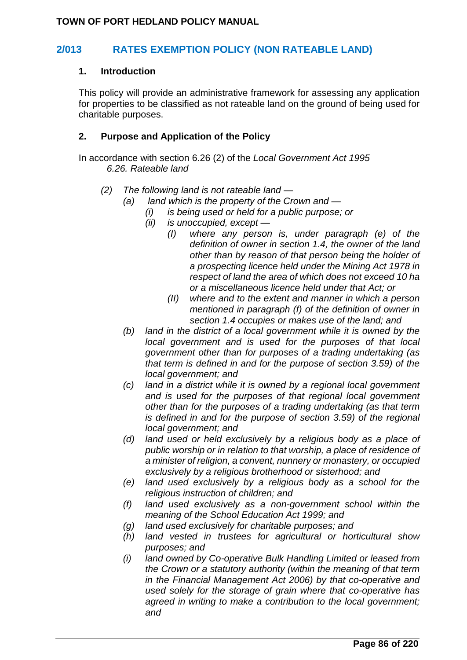### **2/013 RATES EXEMPTION POLICY (NON RATEABLE LAND)**

#### **1. Introduction**

This policy will provide an administrative framework for assessing any application for properties to be classified as not rateable land on the ground of being used for charitable purposes.

#### **2. Purpose and Application of the Policy**

In accordance with section 6.26 (2) of the *Local Government Act 1995 6.26. Rateable land*

- *(2) The following land is not rateable land —*
	- *(a) land which is the property of the Crown and —*
		- *(i) is being used or held for a public purpose; or*
		- *(ii) is unoccupied, except —*
			- *(I) where any person is, under paragraph (e) of the definition of owner in section 1.4, the owner of the land other than by reason of that person being the holder of a prospecting licence held under the Mining Act 1978 in respect of land the area of which does not exceed 10 ha or a miscellaneous licence held under that Act; or*
			- *(II) where and to the extent and manner in which a person mentioned in paragraph (f) of the definition of owner in section 1.4 occupies or makes use of the land; and*
	- *(b) land in the district of a local government while it is owned by the local government and is used for the purposes of that local government other than for purposes of a trading undertaking (as that term is defined in and for the purpose of section 3.59) of the local government; and*
	- *(c) land in a district while it is owned by a regional local government and is used for the purposes of that regional local government other than for the purposes of a trading undertaking (as that term is defined in and for the purpose of section 3.59) of the regional local government; and*
	- *(d) land used or held exclusively by a religious body as a place of public worship or in relation to that worship, a place of residence of a minister of religion, a convent, nunnery or monastery, or occupied exclusively by a religious brotherhood or sisterhood; and*
	- *(e) land used exclusively by a religious body as a school for the religious instruction of children; and*
	- *(f) land used exclusively as a non-government school within the meaning of the School Education Act 1999; and*
	- *(g) land used exclusively for charitable purposes; and*
	- *(h) land vested in trustees for agricultural or horticultural show purposes; and*
	- *(i) land owned by Co-operative Bulk Handling Limited or leased from the Crown or a statutory authority (within the meaning of that term in the Financial Management Act 2006) by that co-operative and used solely for the storage of grain where that co-operative has agreed in writing to make a contribution to the local government; and*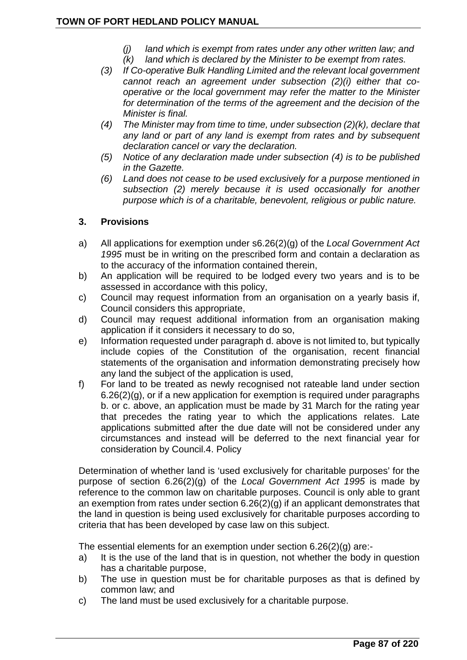- *(j) land which is exempt from rates under any other written law; and*
- *(k) land which is declared by the Minister to be exempt from rates.*
- *(3) If Co-operative Bulk Handling Limited and the relevant local government cannot reach an agreement under subsection (2)(i) either that cooperative or the local government may refer the matter to the Minister for determination of the terms of the agreement and the decision of the Minister is final.*
- *(4) The Minister may from time to time, under subsection (2)(k), declare that any land or part of any land is exempt from rates and by subsequent declaration cancel or vary the declaration.*
- *(5) Notice of any declaration made under subsection (4) is to be published in the Gazette.*
- *(6) Land does not cease to be used exclusively for a purpose mentioned in subsection (2) merely because it is used occasionally for another purpose which is of a charitable, benevolent, religious or public nature.*

### **3. Provisions**

- a) All applications for exemption under s6.26(2)(g) of the *Local Government Act 1995* must be in writing on the prescribed form and contain a declaration as to the accuracy of the information contained therein,
- b) An application will be required to be lodged every two years and is to be assessed in accordance with this policy,
- c) Council may request information from an organisation on a yearly basis if, Council considers this appropriate,
- d) Council may request additional information from an organisation making application if it considers it necessary to do so,
- e) Information requested under paragraph d. above is not limited to, but typically include copies of the Constitution of the organisation, recent financial statements of the organisation and information demonstrating precisely how any land the subject of the application is used,
- f) For land to be treated as newly recognised not rateable land under section 6.26(2)(g), or if a new application for exemption is required under paragraphs b. or c. above, an application must be made by 31 March for the rating year that precedes the rating year to which the applications relates. Late applications submitted after the due date will not be considered under any circumstances and instead will be deferred to the next financial year for consideration by Council.4. Policy

Determination of whether land is 'used exclusively for charitable purposes' for the purpose of section 6.26(2)(g) of the *Local Government Act 1995* is made by reference to the common law on charitable purposes. Council is only able to grant an exemption from rates under section 6.26(2)(g) if an applicant demonstrates that the land in question is being used exclusively for charitable purposes according to criteria that has been developed by case law on this subject.

The essential elements for an exemption under section 6.26(2)(g) are:-

- a) It is the use of the land that is in question, not whether the body in question has a charitable purpose,
- b) The use in question must be for charitable purposes as that is defined by common law; and
- c) The land must be used exclusively for a charitable purpose.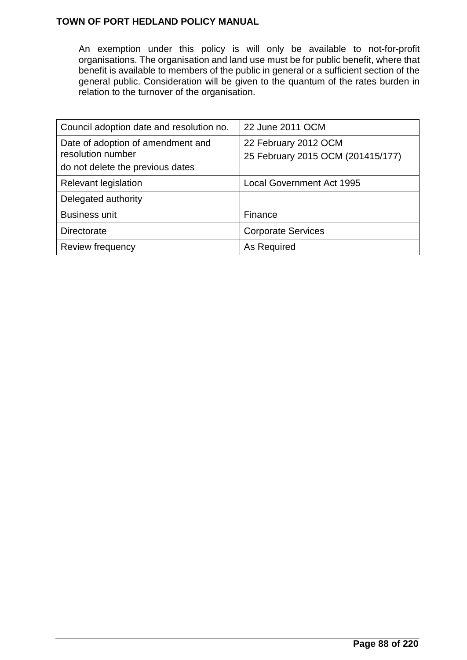An exemption under this policy is will only be available to not-for-profit organisations. The organisation and land use must be for public benefit, where that benefit is available to members of the public in general or a sufficient section of the general public. Consideration will be given to the quantum of the rates burden in relation to the turnover of the organisation.

| Council adoption date and resolution no.                                                   | 22 June 2011 OCM                                          |
|--------------------------------------------------------------------------------------------|-----------------------------------------------------------|
| Date of adoption of amendment and<br>resolution number<br>do not delete the previous dates | 22 February 2012 OCM<br>25 February 2015 OCM (201415/177) |
| <b>Relevant legislation</b>                                                                | <b>Local Government Act 1995</b>                          |
| Delegated authority                                                                        |                                                           |
| <b>Business unit</b>                                                                       | Finance                                                   |
| Directorate                                                                                | <b>Corporate Services</b>                                 |
| Review frequency                                                                           | As Required                                               |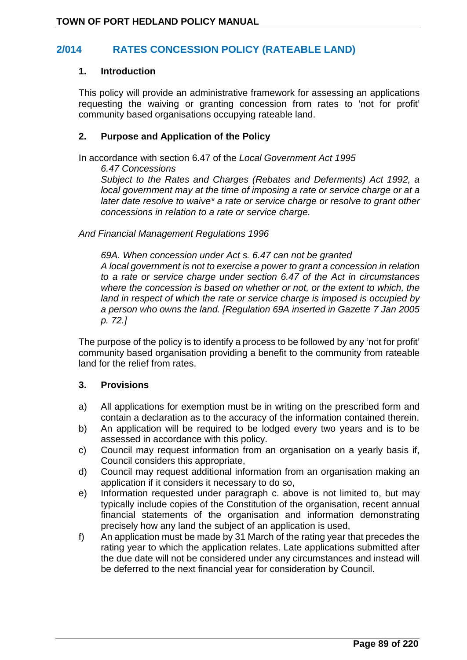## **2/014 RATES CONCESSION POLICY (RATEABLE LAND)**

#### **1. Introduction**

This policy will provide an administrative framework for assessing an applications requesting the waiving or granting concession from rates to 'not for profit' community based organisations occupying rateable land.

#### **2. Purpose and Application of the Policy**

In accordance with section 6.47 of the *Local Government Act 1995*

*6.47 Concessions*

*Subject to the Rates and Charges (Rebates and Deferments) Act 1992, a local government may at the time of imposing a rate or service charge or at a later date resolve to waive\* a rate or service charge or resolve to grant other concessions in relation to a rate or service charge.* 

*And Financial Management Regulations 1996*

*69A. When concession under Act s. 6.47 can not be granted A local government is not to exercise a power to grant a concession in relation to a rate or service charge under section 6.47 of the Act in circumstances where the concession is based on whether or not, or the extent to which, the land in respect of which the rate or service charge is imposed is occupied by a person who owns the land. [Regulation 69A inserted in Gazette 7 Jan 2005 p. 72.]*

The purpose of the policy is to identify a process to be followed by any 'not for profit' community based organisation providing a benefit to the community from rateable land for the relief from rates.

#### **3. Provisions**

- a) All applications for exemption must be in writing on the prescribed form and contain a declaration as to the accuracy of the information contained therein.
- b) An application will be required to be lodged every two years and is to be assessed in accordance with this policy.
- c) Council may request information from an organisation on a yearly basis if, Council considers this appropriate,
- d) Council may request additional information from an organisation making an application if it considers it necessary to do so,
- e) Information requested under paragraph c. above is not limited to, but may typically include copies of the Constitution of the organisation, recent annual financial statements of the organisation and information demonstrating precisely how any land the subject of an application is used,
- f) An application must be made by 31 March of the rating year that precedes the rating year to which the application relates. Late applications submitted after the due date will not be considered under any circumstances and instead will be deferred to the next financial year for consideration by Council.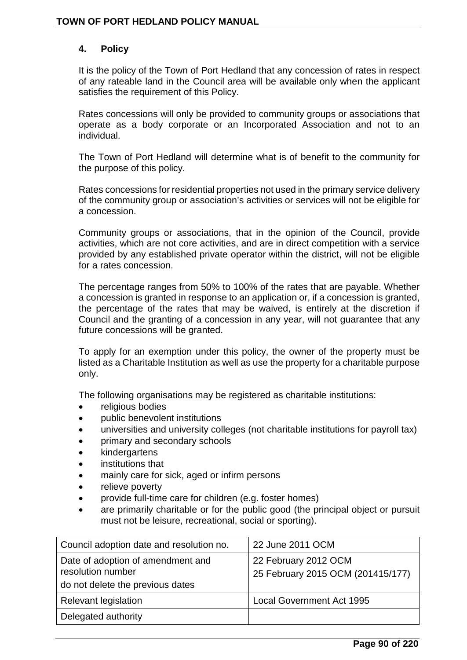### **4. Policy**

It is the policy of the Town of Port Hedland that any concession of rates in respect of any rateable land in the Council area will be available only when the applicant satisfies the requirement of this Policy.

Rates concessions will only be provided to community groups or associations that operate as a body corporate or an Incorporated Association and not to an individual.

The Town of Port Hedland will determine what is of benefit to the community for the purpose of this policy.

Rates concessions for residential properties not used in the primary service delivery of the community group or association's activities or services will not be eligible for a concession.

Community groups or associations, that in the opinion of the Council, provide activities, which are not core activities, and are in direct competition with a service provided by any established private operator within the district, will not be eligible for a rates concession.

The percentage ranges from 50% to 100% of the rates that are payable. Whether a concession is granted in response to an application or, if a concession is granted, the percentage of the rates that may be waived, is entirely at the discretion if Council and the granting of a concession in any year, will not guarantee that any future concessions will be granted.

To apply for an exemption under this policy, the owner of the property must be listed as a Charitable Institution as well as use the property for a charitable purpose only.

The following organisations may be registered as charitable institutions:

- religious bodies
- public benevolent institutions
- universities and university colleges (not charitable institutions for payroll tax)
- primary and secondary schools
- **kindergartens**
- institutions that
- mainly care for sick, aged or infirm persons
- relieve poverty
- provide full-time care for children (e.g. foster homes)
- are primarily charitable or for the public good (the principal object or pursuit must not be leisure, recreational, social or sporting).

| Council adoption date and resolution no.                                                   | 22 June 2011 OCM                                          |
|--------------------------------------------------------------------------------------------|-----------------------------------------------------------|
| Date of adoption of amendment and<br>resolution number<br>do not delete the previous dates | 22 February 2012 OCM<br>25 February 2015 OCM (201415/177) |
| Relevant legislation                                                                       | <b>Local Government Act 1995</b>                          |
| Delegated authority                                                                        |                                                           |